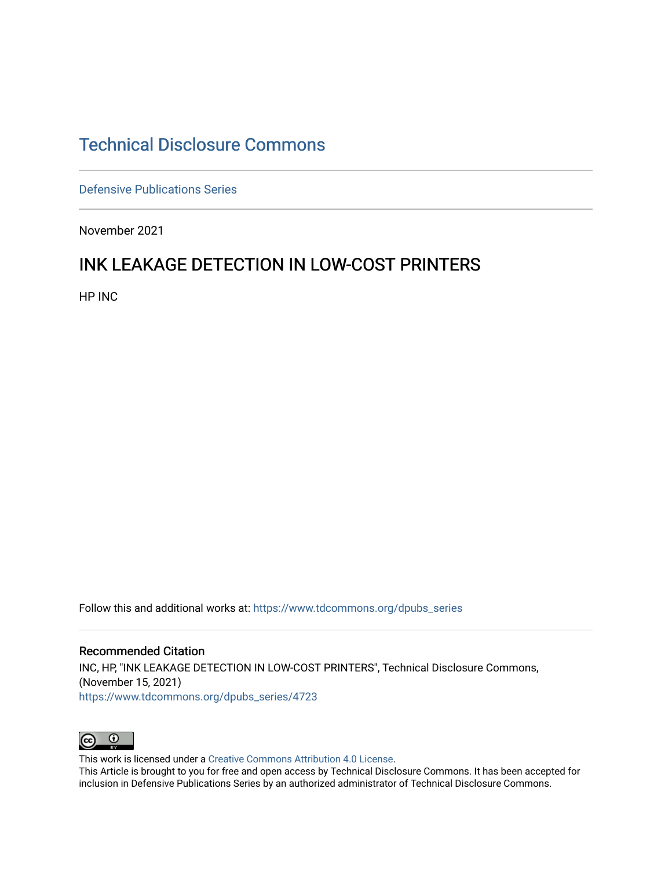## [Technical Disclosure Commons](https://www.tdcommons.org/)

[Defensive Publications Series](https://www.tdcommons.org/dpubs_series)

November 2021

# INK LEAKAGE DETECTION IN LOW-COST PRINTERS

HP INC

Follow this and additional works at: [https://www.tdcommons.org/dpubs\\_series](https://www.tdcommons.org/dpubs_series?utm_source=www.tdcommons.org%2Fdpubs_series%2F4723&utm_medium=PDF&utm_campaign=PDFCoverPages) 

Recommended Citation INC, HP, "INK LEAKAGE DETECTION IN LOW-COST PRINTERS", Technical Disclosure Commons, (November 15, 2021) [https://www.tdcommons.org/dpubs\\_series/4723](https://www.tdcommons.org/dpubs_series/4723?utm_source=www.tdcommons.org%2Fdpubs_series%2F4723&utm_medium=PDF&utm_campaign=PDFCoverPages)



This work is licensed under a [Creative Commons Attribution 4.0 License](http://creativecommons.org/licenses/by/4.0/deed.en_US).

This Article is brought to you for free and open access by Technical Disclosure Commons. It has been accepted for inclusion in Defensive Publications Series by an authorized administrator of Technical Disclosure Commons.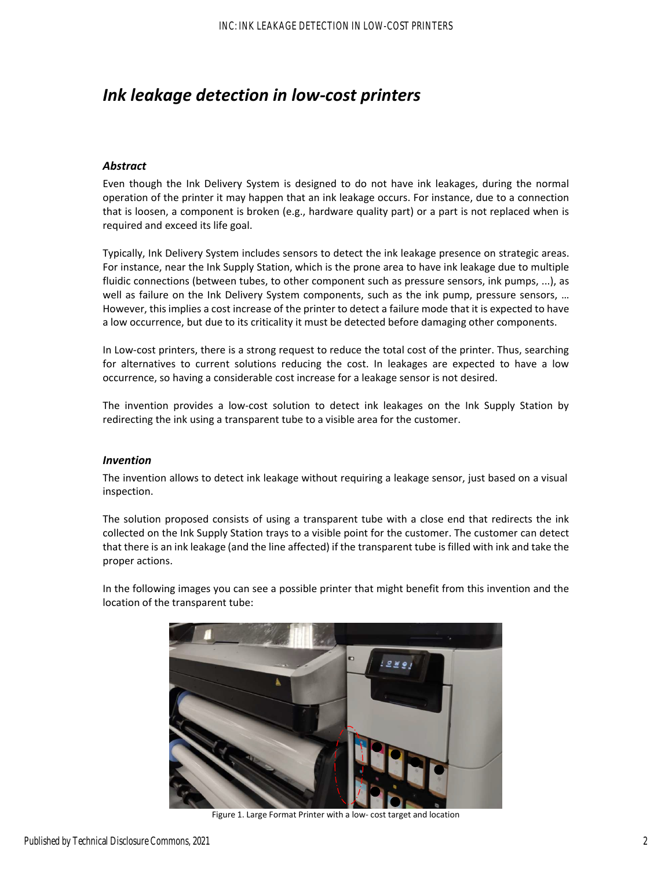## *Ink leakage detection in low‐cost printers*

### *Abstract*

Even though the Ink Delivery System is designed to do not have ink leakages, during the normal operation of the printer it may happen that an ink leakage occurs. For instance, due to a connection that is loosen, a component is broken (e.g., hardware quality part) or a part is not replaced when is required and exceed its life goal.

Typically, Ink Delivery System includes sensors to detect the ink leakage presence on strategic areas. For instance, near the Ink Supply Station, which is the prone area to have ink leakage due to multiple fluidic connections (between tubes, to other component such as pressure sensors, ink pumps, ...), as well as failure on the Ink Delivery System components, such as the ink pump, pressure sensors, … However, this implies a cost increase of the printer to detect a failure mode that it is expected to have a low occurrence, but due to its criticality it must be detected before damaging other components.

In Low‐cost printers, there is a strong request to reduce the total cost of the printer. Thus, searching for alternatives to current solutions reducing the cost. In leakages are expected to have a low occurrence, so having a considerable cost increase for a leakage sensor is not desired.

The invention provides a low-cost solution to detect ink leakages on the Ink Supply Station by redirecting the ink using a transparent tube to a visible area for the customer.

#### *Invention*

The invention allows to detect ink leakage without requiring a leakage sensor, just based on a visual inspection.

The solution proposed consists of using a transparent tube with a close end that redirects the ink collected on the Ink Supply Station trays to a visible point for the customer. The customer can detect that there is an ink leakage (and the line affected) if the transparent tube is filled with ink and take the proper actions.

In the following images you can see a possible printer that might benefit from this invention and the location of the transparent tube:



Figure 1. Large Format Printer with a low‐ cost target and location